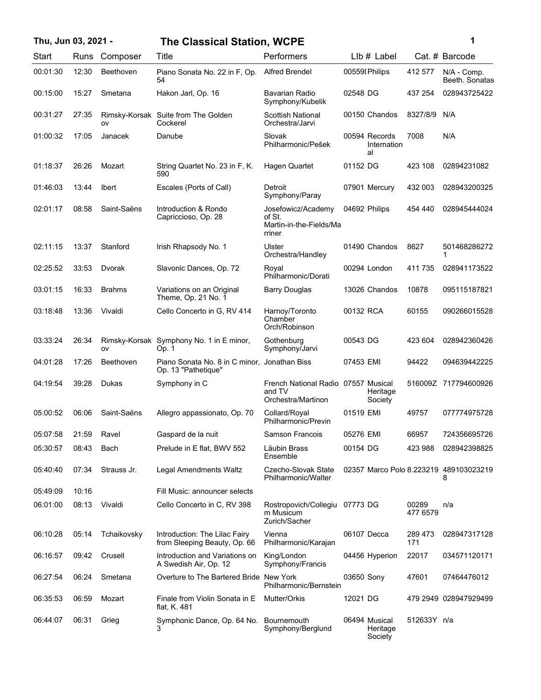| Thu, Jun 03, 2021 - |       |                  | <b>The Classical Station, WCPE</b>                                  | 1                                                                   |            |                                    |                   |                                             |
|---------------------|-------|------------------|---------------------------------------------------------------------|---------------------------------------------------------------------|------------|------------------------------------|-------------------|---------------------------------------------|
| Start               | Runs  | Composer         | Title                                                               | Performers                                                          |            | LIb # Label                        |                   | Cat. # Barcode                              |
| 00:01:30            | 12:30 | Beethoven        | Piano Sonata No. 22 in F, Op.<br>54                                 | <b>Alfred Brendel</b>                                               |            | 00559I Philips                     | 412 577           | N/A - Comp.<br>Beeth. Sonatas               |
| 00:15:00            | 15:27 | Smetana          | Hakon Jarl, Op. 16                                                  | <b>Bavarian Radio</b><br>Symphony/Kubelik                           | 02548 DG   |                                    | 437 254           | 028943725422                                |
| 00:31:27            | 27:35 | ov               | Rimsky-Korsak Suite from The Golden<br>Cockerel                     | Scottish National<br>Orchestra/Jarvi                                |            | 00150 Chandos                      | 8327/8/9          | N/A                                         |
| 01:00:32            | 17:05 | Janacek          | Danube                                                              | Slovak<br>Philharmonic/Pešek                                        |            | 00594 Records<br>Internation<br>al | 7008              | N/A                                         |
| 01:18:37            | 26:26 | Mozart           | String Quartet No. 23 in F, K.<br>590                               | Hagen Quartet                                                       | 01152 DG   |                                    | 423 108           | 02894231082                                 |
| 01:46:03            | 13:44 | <b>Ibert</b>     | Escales (Ports of Call)                                             | Detroit<br>Symphony/Paray                                           |            | 07901 Mercury                      | 432 003           | 028943200325                                |
| 02:01:17            | 08:58 | Saint-Saëns      | Introduction & Rondo<br>Capriccioso, Op. 28                         | Josefowicz/Academy<br>of St.<br>Martin-in-the-Fields/Ma<br>rriner   |            | 04692 Philips                      | 454 440           | 028945444024                                |
| 02:11:15            | 13:37 | Stanford         | Irish Rhapsody No. 1                                                | Ulster<br>Orchestra/Handley                                         |            | 01490 Chandos                      | 8627              | 501468286272                                |
| 02:25:52            | 33:53 | Dvorak           | Slavonic Dances, Op. 72                                             | Royal<br>Philharmonic/Dorati                                        |            | 00294 London                       | 411 735           | 028941173522                                |
| 03:01:15            | 16:33 | <b>Brahms</b>    | Variations on an Original<br>Theme, Op. 21 No. 1                    | <b>Barry Douglas</b>                                                |            | 13026 Chandos                      | 10878             | 095115187821                                |
| 03:18:48            | 13:36 | Vivaldi          | Cello Concerto in G, RV 414                                         | Harnoy/Toronto<br>Chamber<br>Orch/Robinson                          | 00132 RCA  |                                    | 60155             | 090266015528                                |
| 03:33:24            | 26:34 | OV               | Rimsky-Korsak Symphony No. 1 in E minor,<br>Op. 1                   | Gothenburg<br>Symphony/Jarvi                                        | 00543 DG   |                                    | 423 604           | 028942360426                                |
| 04:01:28            | 17:26 | <b>Beethoven</b> | Piano Sonata No. 8 in C minor, Jonathan Biss<br>Op. 13 "Pathetique" |                                                                     | 07453 EMI  |                                    | 94422             | 094639442225                                |
| 04:19:54            | 39:28 | Dukas            | Symphony in C                                                       | French National Radio 07557 Musical<br>and TV<br>Orchestra/Martinon |            | Heritage<br>Society                |                   | 516009Z 717794600926                        |
| 05:00:52            | 06:06 | Saint-Saëns      | Allegro appassionato, Op. 70                                        | Collard/Royal<br>Philharmonic/Previn                                | 01519 EMI  |                                    | 49757             | 077774975728                                |
| 05:07:58            | 21:59 | Ravel            | Gaspard de la nuit                                                  | Samson Francois                                                     | 05276 EMI  |                                    | 66957             | 724356695726                                |
| 05:30:57            | 08:43 | Bach             | Prelude in E flat, BWV 552                                          | Läubin Brass<br>Ensemble                                            | 00154 DG   |                                    | 423 988           | 028942398825                                |
| 05:40:40            | 07:34 | Strauss Jr.      | Legal Amendments Waltz                                              | Czecho-Slovak State<br>Philharmonic/Walter                          |            |                                    |                   | 02357 Marco Polo 8.223219 489103023219<br>8 |
| 05:49:09            | 10:16 |                  | Fill Music: announcer selects                                       |                                                                     |            |                                    |                   |                                             |
| 06:01:00            | 08:13 | Vivaldi          | Cello Concerto in C, RV 398                                         | Rostropovich/Collegiu<br>m Musicum<br>Zurich/Sacher                 | 07773 DG   |                                    | 00289<br>477 6579 | n/a                                         |
| 06:10:28            | 05:14 | Tchaikovsky      | Introduction: The Lilac Fairy<br>from Sleeping Beauty, Op. 66       | Vienna<br>Philharmonic/Karajan                                      |            | 06107 Decca                        | 289 473<br>171    | 028947317128                                |
| 06:16:57            | 09:42 | Crusell          | Introduction and Variations on<br>A Swedish Air, Op. 12             | King/London<br>Symphony/Francis                                     |            | 04456 Hyperion                     | 22017             | 034571120171                                |
| 06:27:54            | 06:24 | Smetana          | Overture to The Bartered Bride New York                             | Philharmonic/Bernstein                                              | 03650 Sony |                                    | 47601             | 07464476012                                 |
| 06:35:53            | 06:59 | Mozart           | Finale from Violin Sonata in E<br>flat, K. 481                      | Mutter/Orkis                                                        | 12021 DG   |                                    |                   | 479 2949 028947929499                       |
| 06:44:07            | 06:31 | Grieg            | Symphonic Dance, Op. 64 No.<br>3                                    | Bournemouth<br>Symphony/Berglund                                    |            | 06494 Musical<br>Heritage          | 512633Y n/a       |                                             |

Society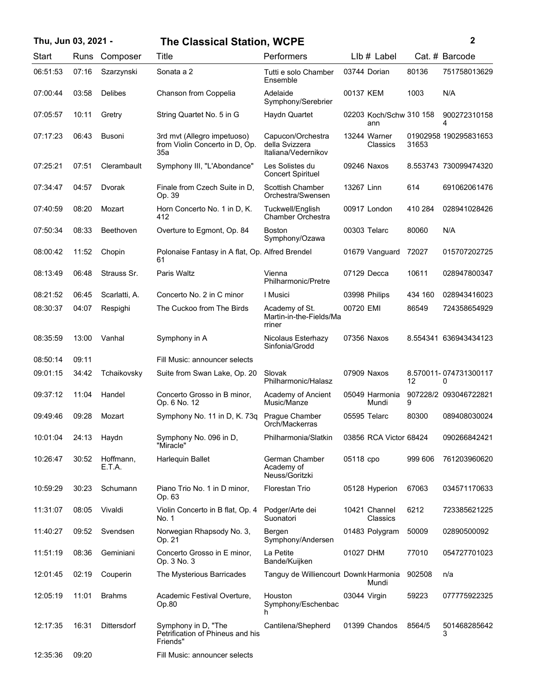## **Thu, Jun 03, 2021 - 2 The Classical Station, WCPE**

| . . |  |   |  |
|-----|--|---|--|
|     |  | I |  |
|     |  | ł |  |
|     |  |   |  |

| Start    | Runs  | Composer            | Title                                                                | Performers                                                 | Llb # Label                    |         | Cat. # Barcode             |
|----------|-------|---------------------|----------------------------------------------------------------------|------------------------------------------------------------|--------------------------------|---------|----------------------------|
| 06:51:53 | 07:16 | Szarzynski          | Sonata a 2                                                           | Tutti e solo Chamber<br>Ensemble                           | 03744 Dorian                   | 80136   | 751758013629               |
| 07:00:44 | 03:58 | <b>Delibes</b>      | Chanson from Coppelia                                                | Adelaide<br>Symphony/Serebrier                             | 00137 KEM                      | 1003    | N/A                        |
| 07:05:57 | 10:11 | Gretry              | String Quartet No. 5 in G                                            | Haydn Quartet                                              | 02203 Koch/Schw 310 158<br>ann |         | 900272310158<br>4          |
| 07:17:23 | 06:43 | <b>Busoni</b>       | 3rd mvt (Allegro impetuoso)<br>from Violin Concerto in D, Op.<br>35a | Capucon/Orchestra<br>della Svizzera<br>Italiana/Vedernikov | 13244 Warner<br>Classics       | 31653   | 01902958 190295831653      |
| 07:25:21 | 07:51 | Clerambault         | Symphony III, "L'Abondance"                                          | Les Solistes du<br><b>Concert Spirituel</b>                | 09246 Naxos                    |         | 8.553743 730099474320      |
| 07:34:47 | 04:57 | Dvorak              | Finale from Czech Suite in D.<br>Op. 39                              | Scottish Chamber<br>Orchestra/Swensen                      | 13267 Linn                     | 614     | 691062061476               |
| 07:40:59 | 08:20 | Mozart              | Horn Concerto No. 1 in D, K.<br>412                                  | Tuckwell/English<br>Chamber Orchestra                      | 00917 London                   | 410 284 | 028941028426               |
| 07:50:34 | 08:33 | Beethoven           | Overture to Egmont, Op. 84                                           | <b>Boston</b><br>Symphony/Ozawa                            | 00303 Telarc                   | 80060   | N/A                        |
| 08:00:42 | 11:52 | Chopin              | Polonaise Fantasy in A flat, Op. Alfred Brendel<br>61                |                                                            | 01679 Vanquard                 | 72027   | 015707202725               |
| 08:13:49 | 06:48 | Strauss Sr.         | Paris Waltz                                                          | Vienna<br>Philharmonic/Pretre                              | 07129 Decca                    | 10611   | 028947800347               |
| 08:21:52 | 06:45 | Scarlatti, A.       | Concerto No. 2 in C minor                                            | I Musici                                                   | 03998 Philips                  | 434 160 | 028943416023               |
| 08:30:37 | 04:07 | Respighi            | The Cuckoo from The Birds                                            | Academy of St.<br>Martin-in-the-Fields/Ma<br>rriner        | 00720 EMI                      | 86549   | 724358654929               |
| 08:35:59 | 13:00 | Vanhal              | Symphony in A                                                        | Nicolaus Esterhazy<br>Sinfonia/Grodd                       | 07356 Naxos                    |         | 8.554341 636943434123      |
| 08:50:14 | 09:11 |                     | Fill Music: announcer selects                                        |                                                            |                                |         |                            |
| 09:01:15 | 34:42 | Tchaikovsky         | Suite from Swan Lake, Op. 20                                         | Slovak<br>Philharmonic/Halasz                              | 07909 Naxos                    | 12      | 8.570011-074731300117<br>0 |
| 09:37:12 | 11:04 | Handel              | Concerto Grosso in B minor.<br>Op. 6 No. 12                          | Academy of Ancient<br>Music/Manze                          | 05049 Harmonia<br>Mundi        | 9       | 907228/2 093046722821      |
| 09:49:46 | 09:28 | Mozart              | Symphony No. 11 in D, K. 73q                                         | Prague Chamber<br>Orch/Mackerras                           | 05595 Telarc                   | 80300   | 089408030024               |
| 10:01:04 | 24:13 | Haydn               | Symphony No. 096 in D,<br>'Miracle'                                  | Philharmonia/Slatkin                                       | 03856 RCA Victor 68424         |         | 090266842421               |
| 10:26:47 | 30:52 | Hoffmann,<br>E.T.A. | Harlequin Ballet                                                     | German Chamber<br>Academy of<br>Neuss/Goritzki             | 05118 cpo                      | 999 606 | 761203960620               |
| 10:59:29 | 30:23 | Schumann            | Piano Trio No. 1 in D minor,<br>Op. 63                               | Florestan Trio                                             | 05128 Hyperion                 | 67063   | 034571170633               |
| 11:31:07 | 08:05 | Vivaldi             | Violin Concerto in B flat, Op. 4<br>No. 1                            | Podger/Arte dei<br>Suonatori                               | 10421 Channel<br>Classics      | 6212    | 723385621225               |
| 11:40:27 | 09:52 | Svendsen            | Norwegian Rhapsody No. 3,<br>Op. 21                                  | Bergen<br>Symphony/Andersen                                | 01483 Polygram                 | 50009   | 02890500092                |
| 11:51:19 | 08:36 | Geminiani           | Concerto Grosso in E minor,<br>Op. 3 No. 3                           | La Petite<br>Bande/Kuijken                                 | 01027 DHM                      | 77010   | 054727701023               |
| 12:01:45 | 02:19 | Couperin            | The Mysterious Barricades                                            | Tanguy de Williencourt Downk Harmonia                      | Mundi                          | 902508  | n/a                        |
| 12:05:19 | 11:01 | <b>Brahms</b>       | Academic Festival Overture,<br>Op.80                                 | Houston<br>Symphony/Eschenbac<br>h                         | 03044 Virgin                   | 59223   | 077775922325               |
| 12:17:35 | 16:31 | <b>Dittersdorf</b>  | Symphony in D. "The<br>Petrification of Phineus and his<br>Friends"  | Cantilena/Shepherd                                         | 01399 Chandos                  | 8564/5  | 501468285642<br>3          |
| 12:35:36 | 09:20 |                     | Fill Music: announcer selects                                        |                                                            |                                |         |                            |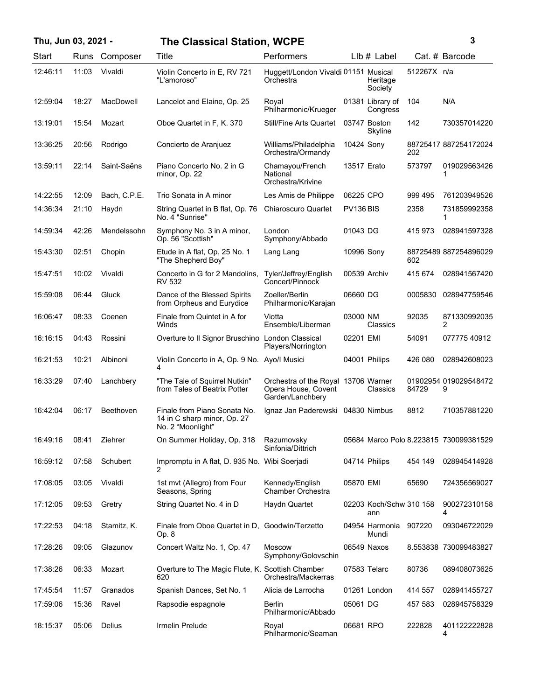| Thu, Jun 03, 2021 - |       |                  | <b>The Classical Station, WCPE</b>                                               |                                                                                |             |                                |             | 3                                      |
|---------------------|-------|------------------|----------------------------------------------------------------------------------|--------------------------------------------------------------------------------|-------------|--------------------------------|-------------|----------------------------------------|
| Start               | Runs  | Composer         | Title                                                                            | Performers                                                                     |             | $Llb#$ Label                   |             | Cat. # Barcode                         |
| 12:46:11            | 11:03 | Vivaldi          | Violin Concerto in E, RV 721<br>"L'amoroso"                                      | Huggett/London Vivaldi 01151 Musical<br>Orchestra                              |             | Heritage<br>Society            | 512267X n/a |                                        |
| 12:59:04            | 18:27 | <b>MacDowell</b> | Lancelot and Elaine, Op. 25                                                      | Royal<br>Philharmonic/Krueger                                                  |             | 01381 Library of<br>Congress   | 104         | N/A                                    |
| 13:19:01            | 15:54 | Mozart           | Oboe Quartet in F, K. 370                                                        | <b>Still/Fine Arts Quartet</b>                                                 |             | 03747 Boston<br>Skyline        | 142         | 730357014220                           |
| 13:36:25            | 20:56 | Rodrigo          | Concierto de Aranjuez                                                            | Williams/Philadelphia<br>Orchestra/Ormandy                                     | 10424 Sony  |                                | 202         | 88725417 887254172024                  |
| 13:59:11            | 22:14 | Saint-Saëns      | Piano Concerto No. 2 in G<br>minor, Op. 22                                       | Chamayou/French<br>National<br>Orchestra/Krivine                               | 13517 Erato |                                | 573797      | 019029563426<br>1                      |
| 14:22:55            | 12:09 | Bach, C.P.E.     | Trio Sonata in A minor                                                           | Les Amis de Philippe                                                           | 06225 CPO   |                                | 999 495     | 761203949526                           |
| 14:36:34            | 21:10 | Haydn            | String Quartet in B flat, Op. 76<br>No. 4 "Sunrise"                              | Chiaroscuro Quartet                                                            | PV136 BIS   |                                | 2358        | 731859992358<br>1                      |
| 14:59:34            | 42:26 | Mendelssohn      | Symphony No. 3 in A minor,<br>Op. 56 "Scottish"                                  | London<br>Symphony/Abbado                                                      | 01043 DG    |                                | 415973      | 028941597328                           |
| 15:43:30            | 02:51 | Chopin           | Etude in A flat, Op. 25 No. 1<br>"The Shepherd Boy"                              | Lang Lang                                                                      | 10996 Sony  |                                | 602         | 88725489 887254896029                  |
| 15:47:51            | 10:02 | Vivaldi          | Concerto in G for 2 Mandolins,<br><b>RV 532</b>                                  | Tyler/Jeffrey/English<br>Concert/Pinnock                                       |             | 00539 Archiv                   | 415 674     | 028941567420                           |
| 15:59:08            | 06:44 | Gluck            | Dance of the Blessed Spirits<br>from Orpheus and Eurydice                        | Zoeller/Berlin<br>Philharmonic/Karajan                                         | 06660 DG    |                                | 0005830     | 028947759546                           |
| 16:06:47            | 08:33 | Coenen           | Finale from Quintet in A for<br>Winds                                            | Viotta<br>Ensemble/Liberman                                                    | 03000 NM    | Classics                       | 92035       | 871330992035<br>2                      |
| 16:16:15            | 04:43 | Rossini          | Overture to Il Signor Bruschino London Classical                                 | Players/Norrington                                                             | 02201 EMI   |                                | 54091       | 077775 40912                           |
| 16:21:53            | 10:21 | Albinoni         | Violin Concerto in A, Op. 9 No. Ayo/I Musici<br>4                                |                                                                                |             | 04001 Philips                  | 426 080     | 028942608023                           |
| 16:33:29            | 07:40 | Lanchbery        | "The Tale of Squirrel Nutkin"<br>from Tales of Beatrix Potter                    | Orchestra of the Royal 13706 Warner<br>Opera House, Covent<br>Garden/Lanchbery |             | Classics                       | 84729       | 01902954 019029548472<br>9             |
| 16:42:04            | 06:17 | Beethoven        | Finale from Piano Sonata No.<br>14 in C sharp minor, Op. 27<br>No. 2 "Moonlight" | Ignaz Jan Paderewski 04830 Nimbus                                              |             |                                | 8812        | 710357881220                           |
| 16:49:16            | 08:41 | Ziehrer          | On Summer Holiday, Op. 318                                                       | Razumovsky<br>Sinfonia/Dittrich                                                |             |                                |             | 05684 Marco Polo 8.223815 730099381529 |
| 16:59:12            | 07:58 | Schubert         | Impromptu in A flat, D. 935 No. Wibi Soerjadi<br>2                               |                                                                                |             | 04714 Philips                  | 454 149     | 028945414928                           |
| 17:08:05            | 03:05 | Vivaldi          | 1st mvt (Allegro) from Four<br>Seasons, Spring                                   | Kennedy/English<br>Chamber Orchestra                                           | 05870 EMI   |                                | 65690       | 724356569027                           |
| 17:12:05            | 09:53 | Gretry           | String Quartet No. 4 in D                                                        | Haydn Quartet                                                                  |             | 02203 Koch/Schw 310 158<br>ann |             | 900272310158<br>4                      |
| 17:22:53            | 04:18 | Stamitz, K.      | Finale from Oboe Quartet in D, Goodwin/Terzetto<br>Op. 8                         |                                                                                |             | 04954 Harmonia<br>Mundi        | 907220      | 093046722029                           |
| 17:28:26            | 09:05 | Glazunov         | Concert Waltz No. 1, Op. 47                                                      | <b>Moscow</b><br>Symphony/Golovschin                                           |             | 06549 Naxos                    |             | 8.553838 730099483827                  |
| 17:38:26            | 06:33 | Mozart           | Overture to The Magic Flute, K. Scottish Chamber<br>620                          | Orchestra/Mackerras                                                            |             | 07583 Telarc                   | 80736       | 089408073625                           |
| 17:45:54            | 11:57 | Granados         | Spanish Dances, Set No. 1                                                        | Alicia de Larrocha                                                             |             | 01261 London                   | 414 557     | 028941455727                           |
| 17:59:06            | 15:36 | Ravel            | Rapsodie espagnole                                                               | Berlin<br>Philharmonic/Abbado                                                  | 05061 DG    |                                | 457 583     | 028945758329                           |
| 18:15:37            | 05:06 | Delius           | Irmelin Prelude                                                                  | Roval<br>Philharmonic/Seaman                                                   | 06681 RPO   |                                | 222828      | 401122222828<br>4                      |